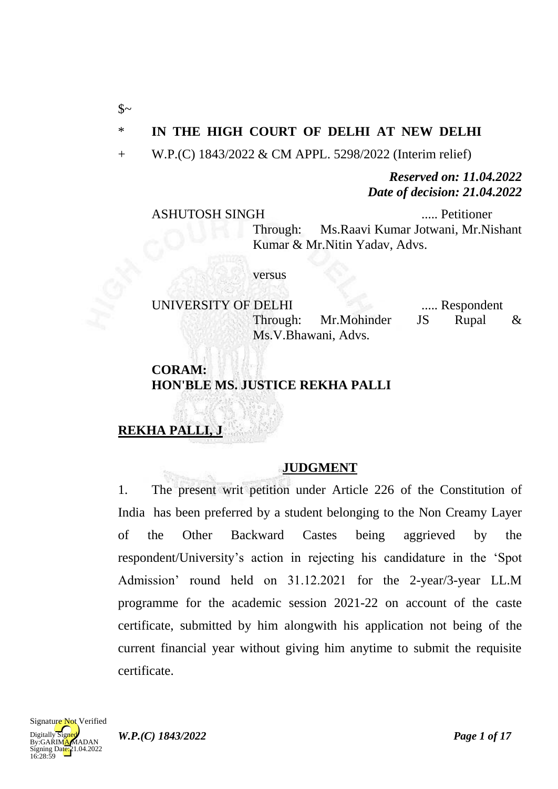### \* **IN THE HIGH COURT OF DELHI AT NEW DELHI**

+ W.P.(C) 1843/2022 & CM APPL. 5298/2022 (Interim relief)

*Reserved on: 11.04.2022 Date of decision: 21.04.2022*

#### ASHUTOSH SINGH ..... Petitioner

 $\mathcal{S}$ ~

Through: Ms.Raavi Kumar Jotwani, Mr.Nishant Kumar & Mr.Nitin Yadav, Advs.

versus

UNIVERSITY OF DELHI ...... Respondent Through: Mr.Mohinder JS Rupal & Ms.V.Bhawani, Advs.

### **CORAM: HON'BLE MS. JUSTICE REKHA PALLI**

# **REKHA PALLI, J**

### **JUDGMENT**

1. The present writ petition under Article 226 of the Constitution of India has been preferred by a student belonging to the Non Creamy Layer of the Other Backward Castes being aggrieved by the respondent/University's action in rejecting his candidature in the 'Spot Admission' round held on 31.12.2021 for the 2-year/3-year LL.M programme for the academic session 2021-22 on account of the caste certificate, submitted by him alongwith his application not being of the current financial year without giving him anytime to submit the requisite certificate.

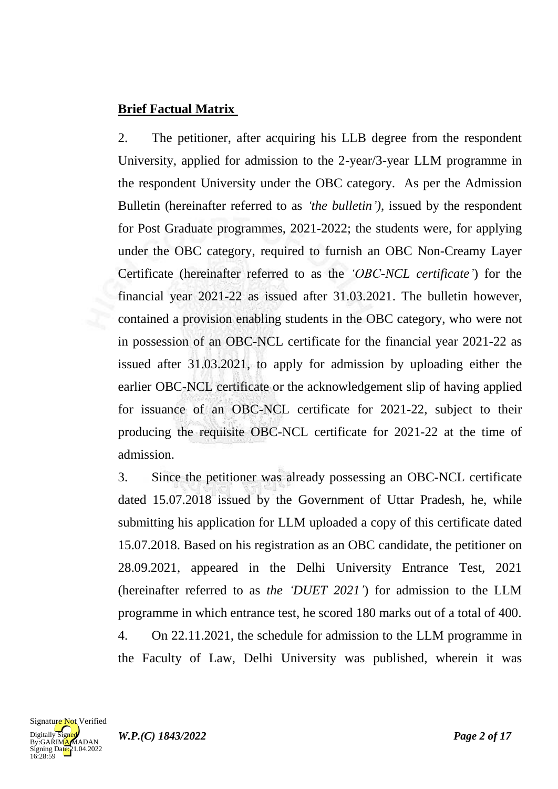## **Brief Factual Matrix**

2. The petitioner, after acquiring his LLB degree from the respondent University, applied for admission to the 2-year/3-year LLM programme in the respondent University under the OBC category. As per the Admission Bulletin (hereinafter referred to as *"the bulletin")*, issued by the respondent for Post Graduate programmes, 2021-2022; the students were, for applying under the OBC category, required to furnish an OBC Non-Creamy Layer Certificate (hereinafter referred to as the *"OBC-NCL certificate"*) for the financial year 2021-22 as issued after 31.03.2021. The bulletin however, contained a provision enabling students in the OBC category, who were not in possession of an OBC-NCL certificate for the financial year 2021-22 as issued after 31.03.2021, to apply for admission by uploading either the earlier OBC-NCL certificate or the acknowledgement slip of having applied for issuance of an OBC-NCL certificate for 2021-22, subject to their producing the requisite OBC-NCL certificate for 2021-22 at the time of admission.

3. Since the petitioner was already possessing an OBC-NCL certificate dated 15.07.2018 issued by the Government of Uttar Pradesh, he, while submitting his application for LLM uploaded a copy of this certificate dated 15.07.2018. Based on his registration as an OBC candidate, the petitioner on 28.09.2021, appeared in the Delhi University Entrance Test, 2021 (hereinafter referred to as *the "DUET 2021"*) for admission to the LLM programme in which entrance test, he scored 180 marks out of a total of 400. 4. On 22.11.2021, the schedule for admission to the LLM programme in the Faculty of Law, Delhi University was published, wherein it was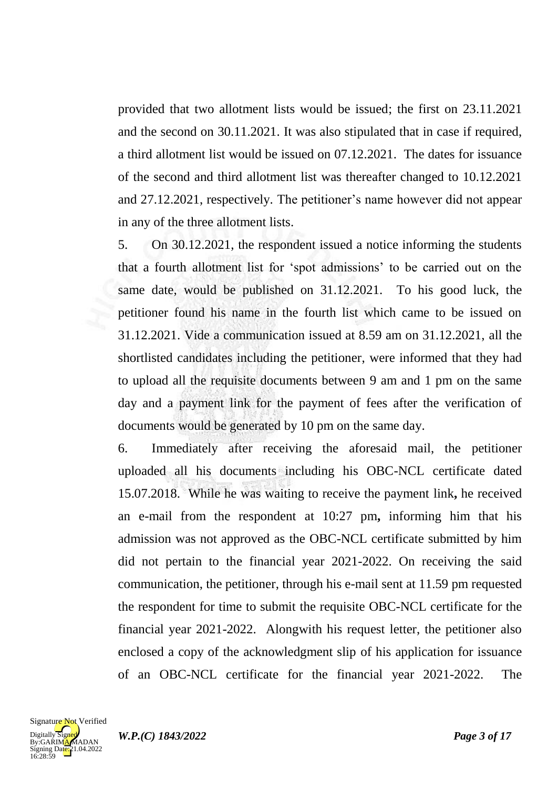provided that two allotment lists would be issued; the first on 23.11.2021 and the second on 30.11.2021. It was also stipulated that in case if required, a third allotment list would be issued on 07.12.2021. The dates for issuance of the second and third allotment list was thereafter changed to 10.12.2021 and 27.12.2021, respectively. The petitioner's name however did not appear in any of the three allotment lists.

5. On 30.12.2021, the respondent issued a notice informing the students that a fourth allotment list for 'spot admissions' to be carried out on the same date, would be published on 31.12.2021. To his good luck, the petitioner found his name in the fourth list which came to be issued on 31.12.2021. Vide a communication issued at 8.59 am on 31.12.2021, all the shortlisted candidates including the petitioner, were informed that they had to upload all the requisite documents between 9 am and 1 pm on the same day and a payment link for the payment of fees after the verification of documents would be generated by 10 pm on the same day.

6. Immediately after receiving the aforesaid mail, the petitioner uploaded all his documents including his OBC-NCL certificate dated 15.07.2018. While he was waiting to receive the payment link**,** he received an e-mail from the respondent at 10:27 pm**,** informing him that his admission was not approved as the OBC-NCL certificate submitted by him did not pertain to the financial year 2021-2022. On receiving the said communication, the petitioner, through his e-mail sent at 11.59 pm requested the respondent for time to submit the requisite OBC-NCL certificate for the financial year 2021-2022. Alongwith his request letter, the petitioner also enclosed a copy of the acknowledgment slip of his application for issuance of an OBC-NCL certificate for the financial year 2021-2022. The

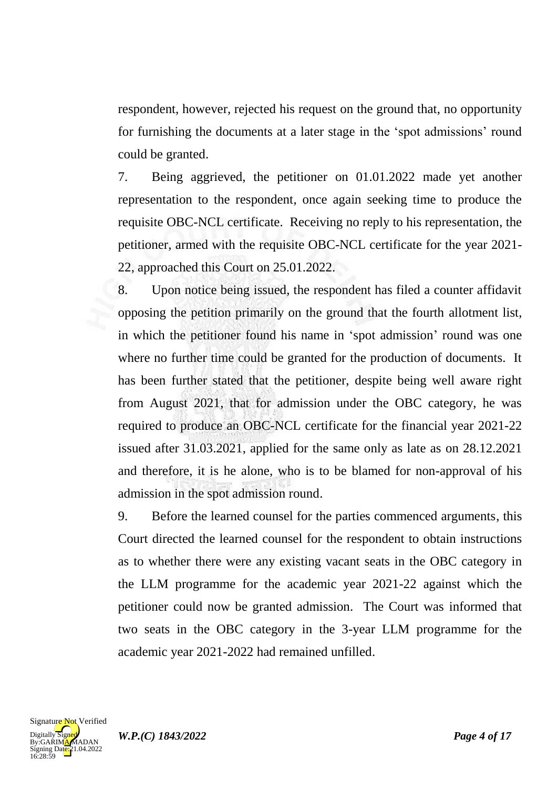respondent, however, rejected his request on the ground that, no opportunity for furnishing the documents at a later stage in the 'spot admissions' round could be granted.

7. Being aggrieved, the petitioner on 01.01.2022 made yet another representation to the respondent, once again seeking time to produce the requisite OBC-NCL certificate. Receiving no reply to his representation, the petitioner, armed with the requisite OBC-NCL certificate for the year 2021- 22, approached this Court on 25.01.2022.

8. Upon notice being issued, the respondent has filed a counter affidavit opposing the petition primarily on the ground that the fourth allotment list, in which the petitioner found his name in 'spot admission' round was one where no further time could be granted for the production of documents. It has been further stated that the petitioner, despite being well aware right from August 2021, that for admission under the OBC category, he was required to produce an OBC-NCL certificate for the financial year 2021-22 issued after 31.03.2021, applied for the same only as late as on 28.12.2021 and therefore, it is he alone, who is to be blamed for non-approval of his admission in the spot admission round.

9. Before the learned counsel for the parties commenced arguments, this Court directed the learned counsel for the respondent to obtain instructions as to whether there were any existing vacant seats in the OBC category in the LLM programme for the academic year 2021-22 against which the petitioner could now be granted admission. The Court was informed that two seats in the OBC category in the 3-year LLM programme for the academic year 2021-2022 had remained unfilled.

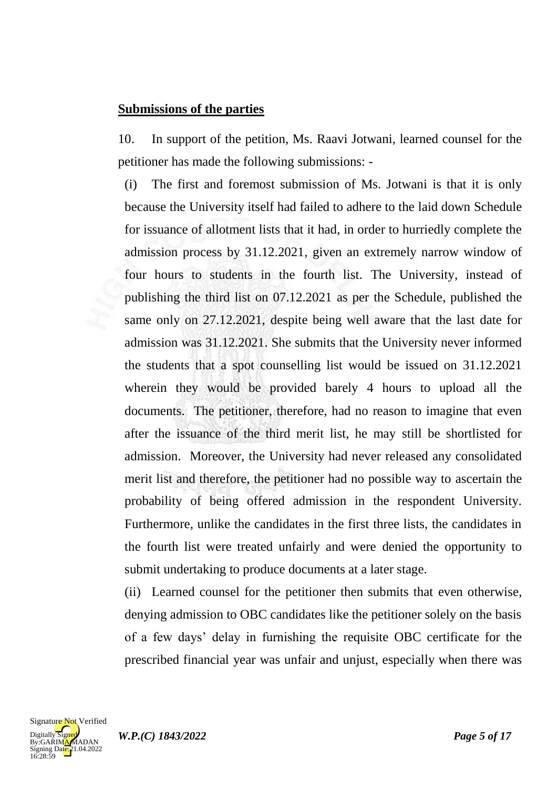#### **Submissions of the parties**

10. In support of the petition, Ms. Raavi Jotwani, learned counsel for the petitioner has made the following submissions: -

(i) The first and foremost submission of Ms. Jotwani is that it is only because the University itself had failed to adhere to the laid down Schedule for issuance of allotment lists that it had, in order to hurriedly complete the admission process by 31.12.2021, given an extremely narrow window of four hours to students in the fourth list. The University, instead of publishing the third list on 07.12.2021 as per the Schedule, published the same only on 27.12.2021, despite being well aware that the last date for admission was 31.12.2021. She submits that the University never informed the students that a spot counselling list would be issued on 31.12.2021 wherein they would be provided barely 4 hours to upload all the documents. The petitioner, therefore, had no reason to imagine that even after the issuance of the third merit list, he may still be shortlisted for admission. Moreover, the University had never released any consolidated merit list and therefore, the petitioner had no possible way to ascertain the probability of being offered admission in the respondent University. Furthermore, unlike the candidates in the first three lists, the candidates in the fourth list were treated unfairly and were denied the opportunity to submit undertaking to produce documents at a later stage.

(ii) Learned counsel for the petitioner then submits that even otherwise, denying admission to OBC candidates like the petitioner solely on the basis of a few days' delay in furnishing the requisite OBC certificate for the prescribed financial year was unfair and unjust, especially when there was

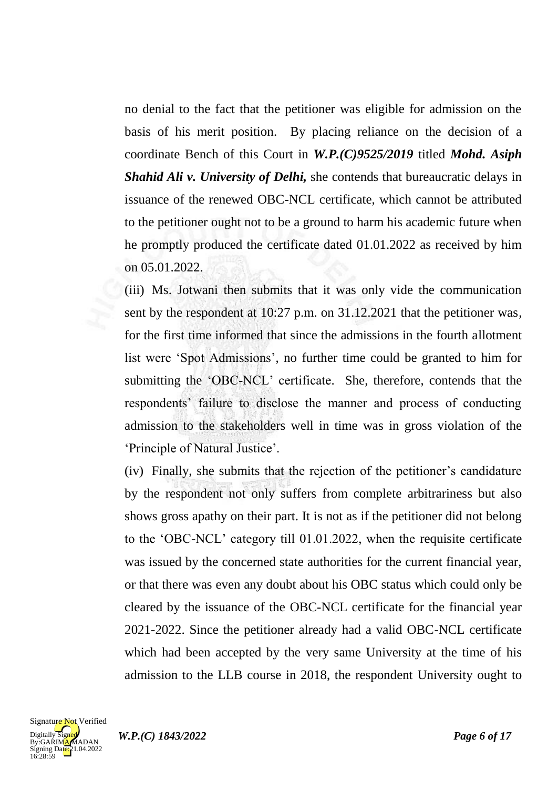no denial to the fact that the petitioner was eligible for admission on the basis of his merit position. By placing reliance on the decision of a coordinate Bench of this Court in *W.P.(C)9525/2019* titled *Mohd. Asiph Shahid Ali v. University of Delhi,* she contends that bureaucratic delays in issuance of the renewed OBC-NCL certificate, which cannot be attributed to the petitioner ought not to be a ground to harm his academic future when he promptly produced the certificate dated 01.01.2022 as received by him on 05.01.2022.

(iii) Ms. Jotwani then submits that it was only vide the communication sent by the respondent at 10:27 p.m. on 31.12.2021 that the petitioner was, for the first time informed that since the admissions in the fourth allotment list were 'Spot Admissions', no further time could be granted to him for submitting the 'OBC-NCL' certificate. She, therefore, contends that the respondents' failure to disclose the manner and process of conducting admission to the stakeholders well in time was in gross violation of the 'Principle of Natural Justice'.

(iv) Finally, she submits that the rejection of the petitioner's candidature by the respondent not only suffers from complete arbitrariness but also shows gross apathy on their part. It is not as if the petitioner did not belong to the 'OBC-NCL' category till 01.01.2022, when the requisite certificate was issued by the concerned state authorities for the current financial year, or that there was even any doubt about his OBC status which could only be cleared by the issuance of the OBC-NCL certificate for the financial year 2021-2022. Since the petitioner already had a valid OBC-NCL certificate which had been accepted by the very same University at the time of his admission to the LLB course in 2018, the respondent University ought to

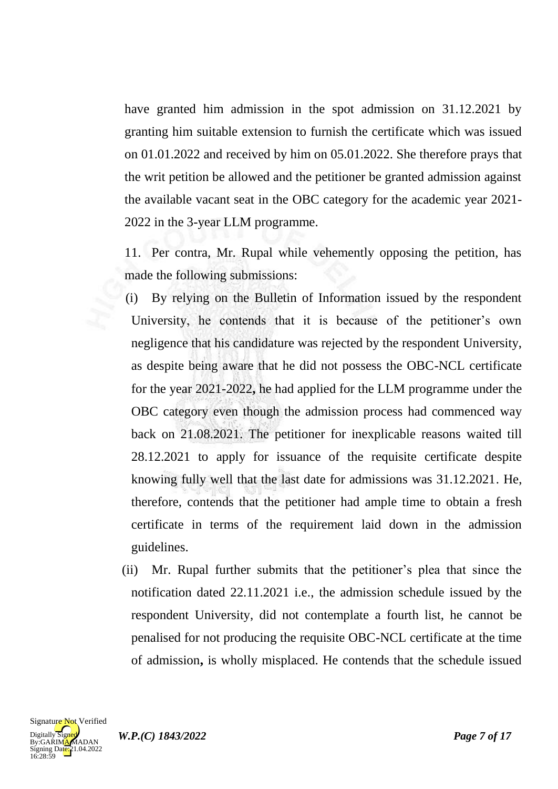have granted him admission in the spot admission on 31.12.2021 by granting him suitable extension to furnish the certificate which was issued on 01.01.2022 and received by him on 05.01.2022. She therefore prays that the writ petition be allowed and the petitioner be granted admission against the available vacant seat in the OBC category for the academic year 2021- 2022 in the 3-year LLM programme.

11. Per contra, Mr. Rupal while vehemently opposing the petition, has made the following submissions:

(i) By relying on the Bulletin of Information issued by the respondent University, he contends that it is because of the petitioner's own negligence that his candidature was rejected by the respondent University, as despite being aware that he did not possess the OBC-NCL certificate for the year 2021-2022**,** he had applied for the LLM programme under the OBC category even though the admission process had commenced way back on 21.08.2021. The petitioner for inexplicable reasons waited till 28.12.2021 to apply for issuance of the requisite certificate despite knowing fully well that the last date for admissions was 31.12.2021. He, therefore, contends that the petitioner had ample time to obtain a fresh certificate in terms of the requirement laid down in the admission guidelines.

(ii) Mr. Rupal further submits that the petitioner's plea that since the notification dated 22.11.2021 i.e., the admission schedule issued by the respondent University, did not contemplate a fourth list, he cannot be penalised for not producing the requisite OBC-NCL certificate at the time of admission**,** is wholly misplaced. He contends that the schedule issued



*W.P.(C) 1843/2022 Page 7 of 17*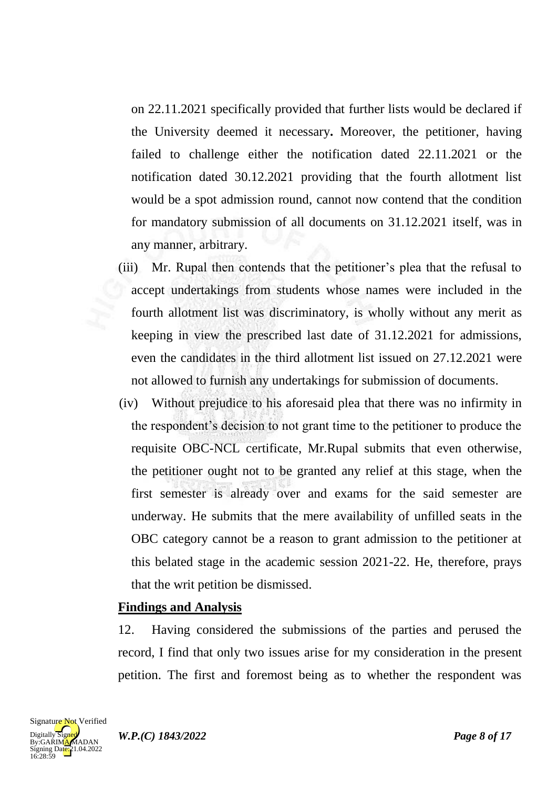on 22.11.2021 specifically provided that further lists would be declared if the University deemed it necessary**.** Moreover, the petitioner, having failed to challenge either the notification dated 22.11.2021 or the notification dated 30.12.2021 providing that the fourth allotment list would be a spot admission round, cannot now contend that the condition for mandatory submission of all documents on 31.12.2021 itself, was in any manner, arbitrary.

- (iii) Mr. Rupal then contends that the petitioner's plea that the refusal to accept undertakings from students whose names were included in the fourth allotment list was discriminatory, is wholly without any merit as keeping in view the prescribed last date of 31.12.2021 for admissions, even the candidates in the third allotment list issued on 27.12.2021 were not allowed to furnish any undertakings for submission of documents.
- (iv) Without prejudice to his aforesaid plea that there was no infirmity in the respondent's decision to not grant time to the petitioner to produce the requisite OBC-NCL certificate, Mr.Rupal submits that even otherwise, the petitioner ought not to be granted any relief at this stage, when the first semester is already over and exams for the said semester are underway. He submits that the mere availability of unfilled seats in the OBC category cannot be a reason to grant admission to the petitioner at this belated stage in the academic session 2021-22. He, therefore, prays that the writ petition be dismissed.

#### **Findings and Analysis**

12. Having considered the submissions of the parties and perused the record, I find that only two issues arise for my consideration in the present petition. The first and foremost being as to whether the respondent was

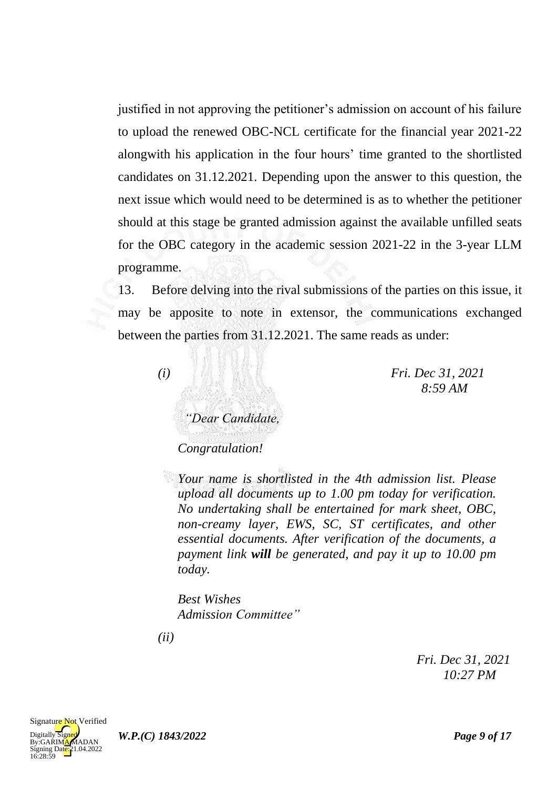justified in not approving the petitioner's admission on account of his failure to upload the renewed OBC-NCL certificate for the financial year 2021-22 alongwith his application in the four hours' time granted to the shortlisted candidates on 31.12.2021. Depending upon the answer to this question, the next issue which would need to be determined is as to whether the petitioner should at this stage be granted admission against the available unfilled seats for the OBC category in the academic session 2021-22 in the 3-year LLM programme.

13. Before delving into the rival submissions of the parties on this issue, it may be apposite to note in extensor, the communications exchanged between the parties from 31.12.2021. The same reads as under:

*(i) Fri. Dec 31, 2021 8:59 AM*

*"Dear Candidate, Congratulation!*

*Your name is shortlisted in the 4th admission list. Please upload all documents up to 1.00 pm today for verification. No undertaking shall be entertained for mark sheet, OBC, non-creamy layer, EWS, SC, ST certificates, and other essential documents. After verification of the documents, a payment link will be generated, and pay it up to 10.00 pm today.*

*Best Wishes Admission Committee"*

*(ii)*

*Fri. Dec 31, 2021 10:27 PM*

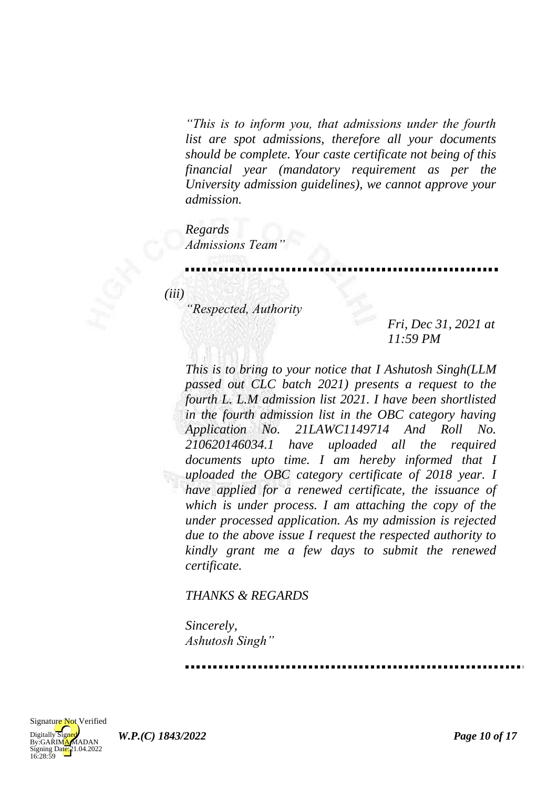*"This is to inform you, that admissions under the fourth list are spot admissions, therefore all your documents should be complete. Your caste certificate not being of this financial year (mandatory requirement as per the University admission guidelines), we cannot approve your admission.*

*Regards Admissions Team"*

*(iii)*

*"Respected, Authority*

*Fri, Dec 31, 2021 at 11:59 PM*

*This is to bring to your notice that I Ashutosh Singh(LLM passed out CLC batch 2021) presents a request to the fourth L. L.M admission list 2021. I have been shortlisted in the fourth admission list in the OBC category having Application No. 21LAWC1149714 And Roll No. 210620146034.1 have uploaded all the required documents upto time. I am hereby informed that I uploaded the OBC category certificate of 2018 year. I have applied for a renewed certificate, the issuance of which is under process. I am attaching the copy of the under processed application. As my admission is rejected due to the above issue I request the respected authority to kindly grant me a few days to submit the renewed certificate.*

#### *THANKS & REGARDS*

*Sincerely, Ashutosh Singh"*

 $Diqitally$ By:GARIMAMADAN Signing Date: 21.04.2022<br>16:28:59 Signature Not Verified

*W.P.(C) 1843/2022 Page 10 of 17*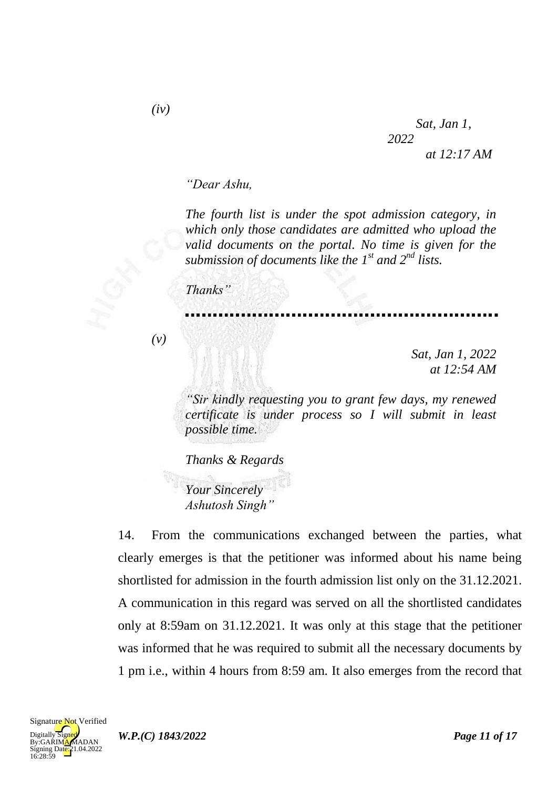*"Dear Ashu,*

*The fourth list is under the spot admission category, in which only those candidates are admitted who upload the valid documents on the portal. No time is given for the submission of documents like the 1st and 2nd lists.*

*Thanks"*

*(v)*

*Sat, Jan 1, 2022 at 12:54 AM*

*"Sir kindly requesting you to grant few days, my renewed certificate is under process so I will submit in least possible time.*

*Thanks & Regards*

*Your Sincerely Ashutosh Singh"*

14. From the communications exchanged between the parties, what clearly emerges is that the petitioner was informed about his name being shortlisted for admission in the fourth admission list only on the 31.12.2021. A communication in this regard was served on all the shortlisted candidates only at 8:59am on 31.12.2021. It was only at this stage that the petitioner was informed that he was required to submit all the necessary documents by 1 pm i.e., within 4 hours from 8:59 am. It also emerges from the record that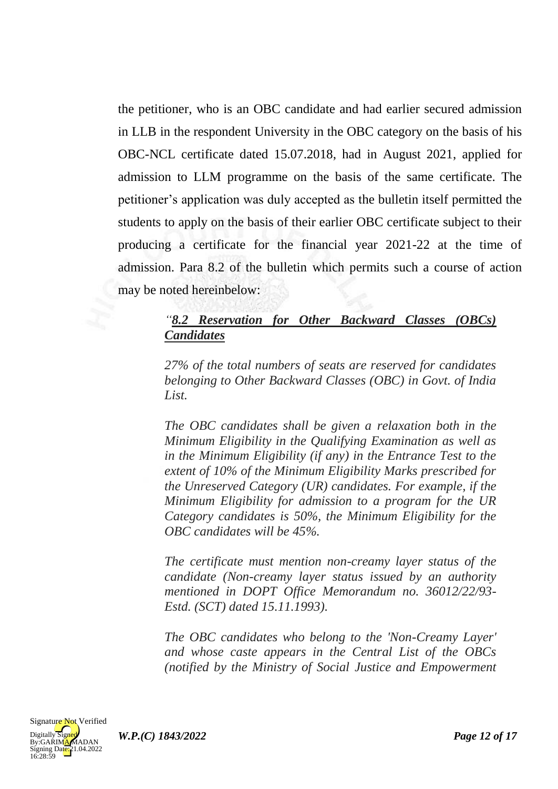the petitioner, who is an OBC candidate and had earlier secured admission in LLB in the respondent University in the OBC category on the basis of his OBC-NCL certificate dated 15.07.2018, had in August 2021, applied for admission to LLM programme on the basis of the same certificate. The petitioner's application was duly accepted as the bulletin itself permitted the students to apply on the basis of their earlier OBC certificate subject to their producing a certificate for the financial year 2021-22 at the time of admission. Para 8.2 of the bulletin which permits such a course of action may be noted hereinbelow:

### *"8.2 Reservation for Other Backward Classes (OBCs) Candidates*

*27% of the total numbers of seats are reserved for candidates belonging to Other Backward Classes (OBC) in Govt. of India List.*

*The OBC candidates shall be given a relaxation both in the Minimum Eligibility in the Qualifying Examination as well as in the Minimum Eligibility (if any) in the Entrance Test to the extent of 10% of the Minimum Eligibility Marks prescribed for the Unreserved Category (UR) candidates. For example, if the Minimum Eligibility for admission to a program for the UR Category candidates is 50%, the Minimum Eligibility for the OBC candidates will be 45%.*

*The certificate must mention non-creamy layer status of the candidate (Non-creamy layer status issued by an authority mentioned in DOPT Office Memorandum no. 36012/22/93- Estd. (SCT) dated 15.11.1993).*

*The OBC candidates who belong to the 'Non-Creamy Layer' and whose caste appears in the Central List of the OBCs (notified by the Ministry of Social Justice and Empowerment* 



*W.P.(C) 1843/2022 Page 12 of 17*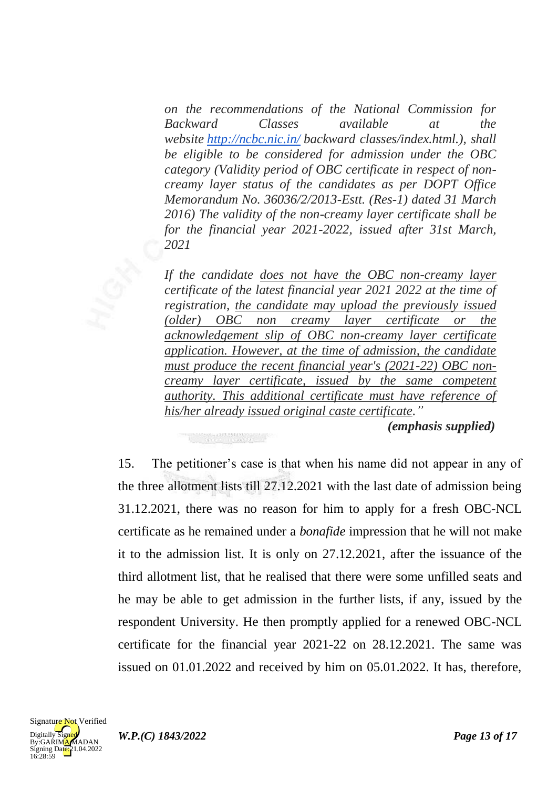*on the recommendations of the National Commission for Backward Classes available at the website <http://ncbc.nic.in/> backward classes/index.html.), shall be eligible to be considered for admission under the OBC category (Validity period of OBC certificate in respect of noncreamy layer status of the candidates as per DOPT Office Memorandum No. 36036/2/2013-Estt. (Res-1) dated 31 March 2016) The validity of the non-creamy layer certificate shall be for the financial year 2021-2022, issued after 31st March, 2021*

*If the candidate does not have the OBC non-creamy layer certificate of the latest financial year 2021 2022 at the time of registration, the candidate may upload the previously issued (older) OBC non creamy layer certificate or the acknowledgement slip of OBC non-creamy layer certificate application. However, at the time of admission, the candidate must produce the recent financial year's (2021-22) OBC noncreamy layer certificate, issued by the same competent authority. This additional certificate must have reference of his/her already issued original caste certificate."*

*(emphasis supplied)*

15. The petitioner's case is that when his name did not appear in any of the three allotment lists till 27.12.2021 with the last date of admission being 31.12.2021, there was no reason for him to apply for a fresh OBC-NCL certificate as he remained under a *bonafide* impression that he will not make it to the admission list. It is only on 27.12.2021, after the issuance of the third allotment list, that he realised that there were some unfilled seats and he may be able to get admission in the further lists, if any, issued by the respondent University. He then promptly applied for a renewed OBC-NCL certificate for the financial year 2021-22 on 28.12.2021. The same was issued on 01.01.2022 and received by him on 05.01.2022. It has, therefore,

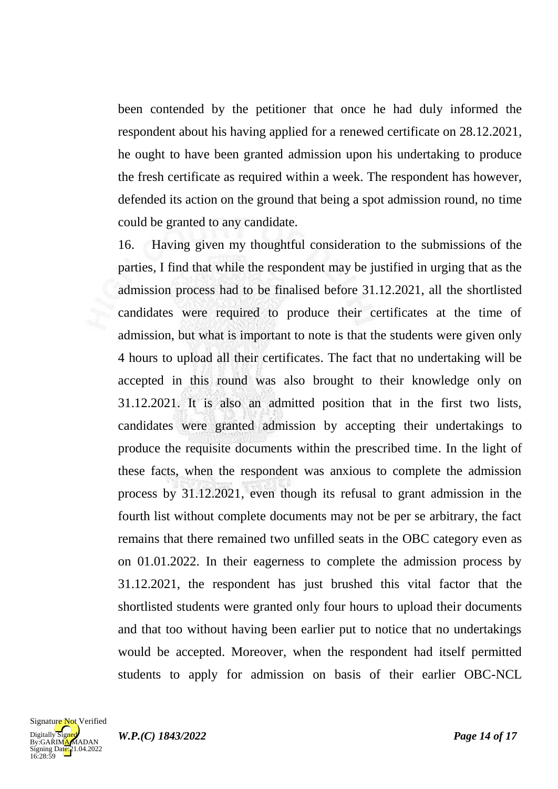been contended by the petitioner that once he had duly informed the respondent about his having applied for a renewed certificate on 28.12.2021, he ought to have been granted admission upon his undertaking to produce the fresh certificate as required within a week. The respondent has however, defended its action on the ground that being a spot admission round, no time could be granted to any candidate.

16. Having given my thoughtful consideration to the submissions of the parties, I find that while the respondent may be justified in urging that as the admission process had to be finalised before 31.12.2021, all the shortlisted candidates were required to produce their certificates at the time of admission, but what is important to note is that the students were given only 4 hours to upload all their certificates. The fact that no undertaking will be accepted in this round was also brought to their knowledge only on 31.12.2021. It is also an admitted position that in the first two lists, candidates were granted admission by accepting their undertakings to produce the requisite documents within the prescribed time. In the light of these facts, when the respondent was anxious to complete the admission process by 31.12.2021, even though its refusal to grant admission in the fourth list without complete documents may not be per se arbitrary, the fact remains that there remained two unfilled seats in the OBC category even as on 01.01.2022. In their eagerness to complete the admission process by 31.12.2021, the respondent has just brushed this vital factor that the shortlisted students were granted only four hours to upload their documents and that too without having been earlier put to notice that no undertakings would be accepted. Moreover, when the respondent had itself permitted students to apply for admission on basis of their earlier OBC-NCL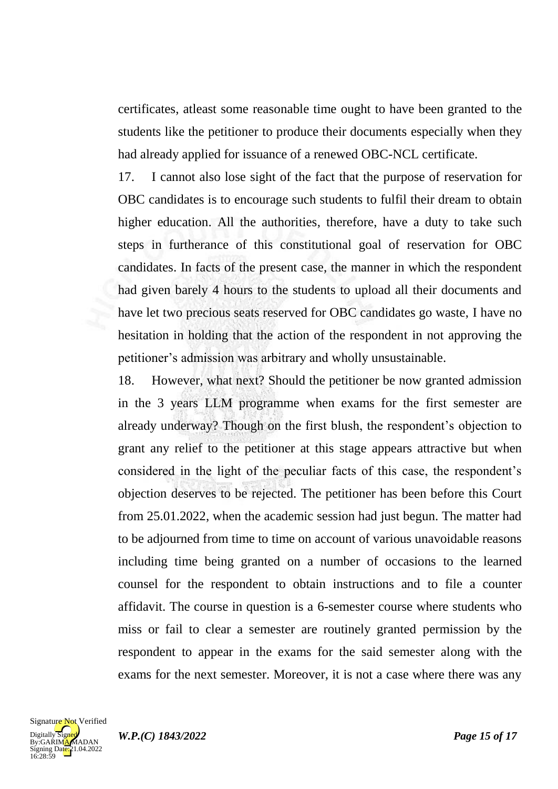certificates, atleast some reasonable time ought to have been granted to the students like the petitioner to produce their documents especially when they had already applied for issuance of a renewed OBC-NCL certificate.

17. I cannot also lose sight of the fact that the purpose of reservation for OBC candidates is to encourage such students to fulfil their dream to obtain higher education. All the authorities, therefore, have a duty to take such steps in furtherance of this constitutional goal of reservation for OBC candidates. In facts of the present case, the manner in which the respondent had given barely 4 hours to the students to upload all their documents and have let two precious seats reserved for OBC candidates go waste, I have no hesitation in holding that the action of the respondent in not approving the petitioner's admission was arbitrary and wholly unsustainable.

18. However, what next? Should the petitioner be now granted admission in the 3 years LLM programme when exams for the first semester are already underway? Though on the first blush, the respondent's objection to grant any relief to the petitioner at this stage appears attractive but when considered in the light of the peculiar facts of this case, the respondent's objection deserves to be rejected. The petitioner has been before this Court from 25.01.2022, when the academic session had just begun. The matter had to be adjourned from time to time on account of various unavoidable reasons including time being granted on a number of occasions to the learned counsel for the respondent to obtain instructions and to file a counter affidavit. The course in question is a 6-semester course where students who miss or fail to clear a semester are routinely granted permission by the respondent to appear in the exams for the said semester along with the exams for the next semester. Moreover, it is not a case where there was any

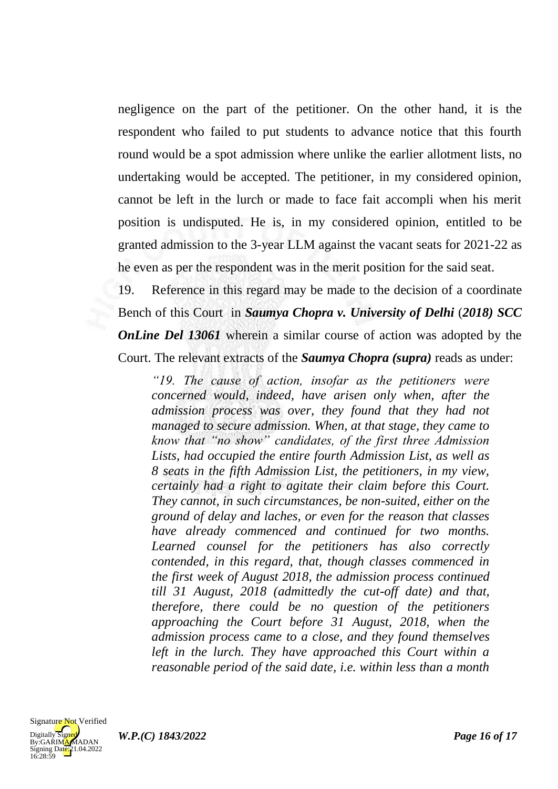negligence on the part of the petitioner. On the other hand, it is the respondent who failed to put students to advance notice that this fourth round would be a spot admission where unlike the earlier allotment lists, no undertaking would be accepted. The petitioner, in my considered opinion, cannot be left in the lurch or made to face fait accompli when his merit position is undisputed. He is, in my considered opinion, entitled to be granted admission to the 3-year LLM against the vacant seats for 2021-22 as he even as per the respondent was in the merit position for the said seat.

19. Reference in this regard may be made to the decision of a coordinate Bench of this Court in *Saumya Chopra v. University of Delhi* (*2018) SCC OnLine Del 13061* wherein a similar course of action was adopted by the Court. The relevant extracts of the *Saumya Chopra (supra)* reads as under:

*"19. The cause of action, insofar as the petitioners were concerned would, indeed, have arisen only when, after the admission process was over, they found that they had not managed to secure admission. When, at that stage, they came to know that "no show" candidates, of the first three Admission Lists, had occupied the entire fourth Admission List, as well as 8 seats in the fifth Admission List, the petitioners, in my view, certainly had a right to agitate their claim before this Court. They cannot, in such circumstances, be non-suited, either on the ground of delay and laches, or even for the reason that classes have already commenced and continued for two months. Learned counsel for the petitioners has also correctly contended, in this regard, that, though classes commenced in the first week of August 2018, the admission process continued till 31 August, 2018 (admittedly the cut-off date) and that, therefore, there could be no question of the petitioners approaching the Court before 31 August, 2018, when the admission process came to a close, and they found themselves left in the lurch. They have approached this Court within a reasonable period of the said date, i.e. within less than a month* 



*W.P.(C) 1843/2022 Page 16 of 17*